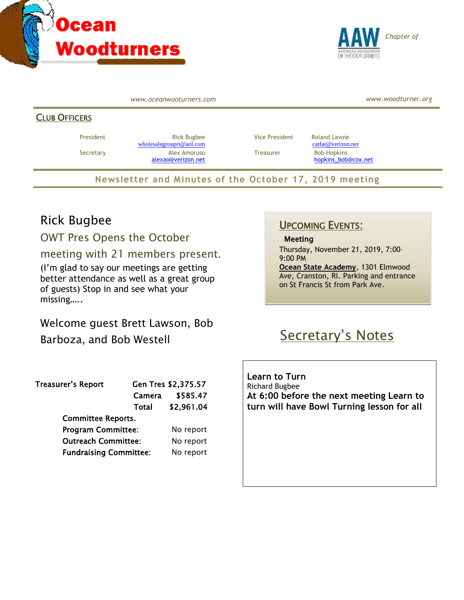



*www.oceanwooturners.com*

*www.woodturner.org*

#### CLUB OFFICERS

President **Rick Bugbee Rick Bugbee** Vice President Roland Lavoie [wholesalegroupri@aol.com](mailto:wholesalegroupri@aol.com) [catfat@verizon.net](mailto:catfat@verizon.net) Secretary **Alex Amoruso Treasurer** Bob Hopkins

[alexao@verizon.net](mailto:alexao@verizon.net) [hopkins\\_bob@cox.net](mailto:hopkins_bob@cox.net)

**Newsletter and Minutes of the October 17, 2019 meeting**

### Rick Bugbee

OWT Pres Opens the October

meeting with 21 members present.

(I'm glad to say our meetings are getting better attendance as well as a great group of guests) Stop in and see what your missing…..

Welcome guest Brett Lawson, Bob

Barboza, and Bob Westell

| <b>Treasurer's Report</b>     | Gen Tres \$2,375.57 |            |
|-------------------------------|---------------------|------------|
|                               | Camera              | \$585.47   |
|                               | Total               | \$2,961.04 |
| <b>Committee Reports.</b>     |                     |            |
| <b>Program Committee:</b>     |                     | No report  |
| <b>Outreach Committee:</b>    |                     | No report  |
| <b>Fundraising Committee:</b> |                     | No report  |

### UPCOMING EVENTS:

Meeting

Thursday, November 21, 2019, 7:00– 9:00 PM

**Ocean State Academy**, 1301 Elmwood Ave, Cranston, RI. Parking and entrance on St Francis St from Park Ave.

# Secretary's Notes

**Learn to Turn** Richard Bugbee **At 6:00 before the next meeting Learn to turn will have Bowl Turning lesson for all**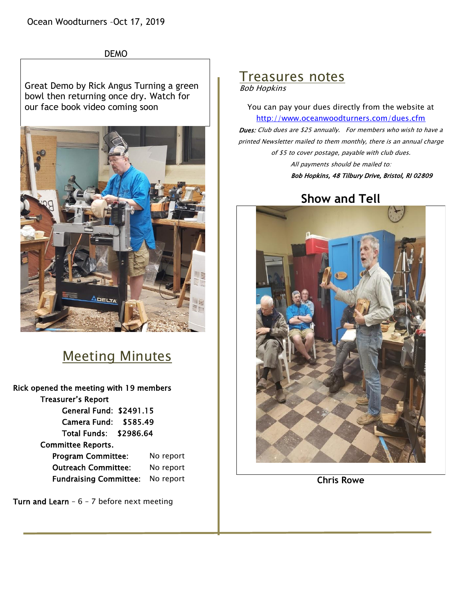Ocean Woodturners –Oct 17, 2019



Great Demo by Rick Angus Turning a green bowl then returning once dry. Watch for our face book video coming soon



## Meeting Minutes

Rick opened the meeting with 19 members Treasurer's Report General Fund: \$2491.15 Camera Fund: \$585.49 Total Funds: \$2986.64 Committee Reports. Program Committee: No report Outreach Committee: No report Fundraising Committee: No report

Turn and Learn -  $6 - 7$  before next meeting

## Treasures notes

Bob Hopkins

You can pay your dues directly from the website at <http://www.oceanwoodturners.com/dues.cfm>

Dues: Club dues are \$25 annually. For members who wish to have a printed Newsletter mailed to them monthly, there is an annual charge of \$5 to cover postage, payable with club dues. All payments should be mailed to:

Bob Hopkins, 48 Tilbury Drive, Bristol, RI 02809

## **Show and Tell**



**Chris Rowe**